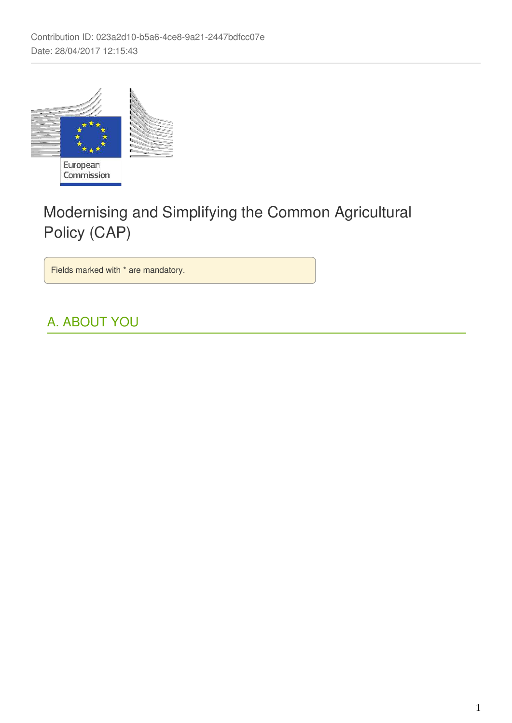

Commission

# Modernising and Simplifying the Common Agricultural Policy (CAP)

Fields marked with \* are mandatory.

# A. ABOUT YOU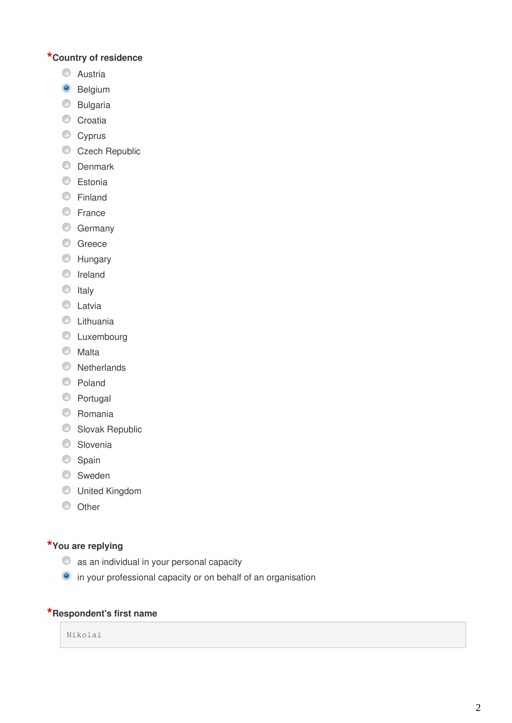## **\*Country of residence**

- **C** Austria
- <sup>O</sup> Belgium
- **Bulgaria**
- Croatia
- Cyprus
- Czech Republic
- **O** Denmark
- **Estonia**
- **Einland**
- **Erance**
- **Germany**
- **C** Greece
- **EXT** Hungary
- **O** Ireland
- $\circ$  Italy
- **C** Latvia
- **C** Lithuania
- **C** Luxembourg
- **Malta**
- **Netherlands**
- C Poland
- C Portugal
- **C** Romania
- Slovak Republic
- **Slovenia**
- Spain
- **Sweden**
- United Kingdom
- $\circ$  Other

### **\*You are replying**

- as an individual in your personal capacity
- in your professional capacity or on behalf of an organisation

### **\*Respondent's first name**

Nikolai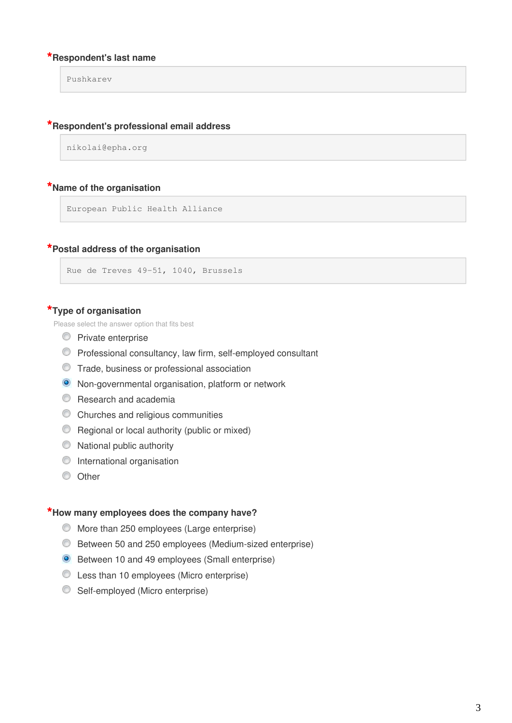### **\*Respondent's last name**

Pushkarev

### **\*Respondent's professional email address**

```
nikolai@epha.org
```
### **\*Name of the organisation**

European Public Health Alliance

### **\*Postal address of the organisation**

```
Rue de Treves 49-51, 1040, Brussels
```
#### **\*Type of organisation**

Please select the answer option that fits best

- **Private enterprise**
- Professional consultancy, law firm, self-employed consultant
- Trade, business or professional association
- Non-governmental organisation, platform or network
- **C** Research and academia
- Churches and religious communities
- **C** Regional or local authority (public or mixed)
- $\circledcirc$  National public authority
- **O** International organisation
- **O** Other

### **\*How many employees does the company have?**

- More than 250 employees (Large enterprise)
- Between 50 and 250 employees (Medium-sized enterprise)
- Between 10 and 49 employees (Small enterprise)
- Less than 10 employees (Micro enterprise)
- **Self-employed (Micro enterprise)**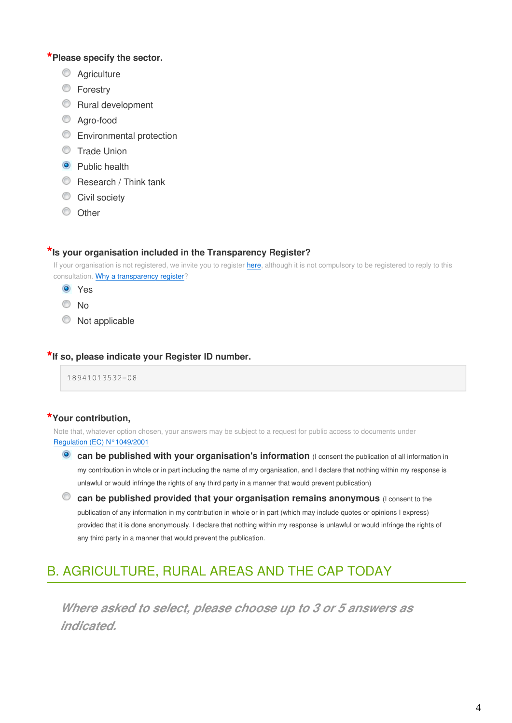### **\*Please specify the sector.**

- C Agriculture
- **E** Forestry
- **Rural development**
- Agro-food
- **Environmental protection**
- **Trade Union**
- **O** Public health
- Research / Think tank
- Civil society
- C Other

### **\*Is your organisation included in the Transparency Register?**

If your organisation is not registered[,](https://ec.europa.eu/transparencyregister/public/ri/registering.do?locale=en) we invite you to register here, although it is not compulsory to be registered to reply to this consultation. Why a transparency register?

- **O** Yes
- No
- $\bullet$  Not applicable

### **\*If so, please indicate your Register ID number.**

18941013532-08

### **\*Your contribution,**

Note that, whatever option chosen, your answers may be subject to a request for public access to documents under [Regulation \(EC\) N°1049/2001](http://www.europarl.europa.eu/register/pdf/r1049_en.pdf)

- **Can be published with your organisation's information** (I consent the publication of all information in my contribution in whole or in part including the name of my organisation, and I declare that nothing within my response is unlawful or would infringe the rights of any third party in a manner that would prevent publication)
- $\bullet$  can be published provided that your organisation remains anonymous (I consent to the publication of any information in my contribution in whole or in part (which may include quotes or opinions I express) provided that it is done anonymously. I declare that nothing within my response is unlawful or would infringe the rights of any third party in a manner that would prevent the publication.

# B. AGRICULTURE, RURAL AREAS AND THE CAP TODAY

**Where asked to select, please choose up to 3 or 5 answers as indicated.**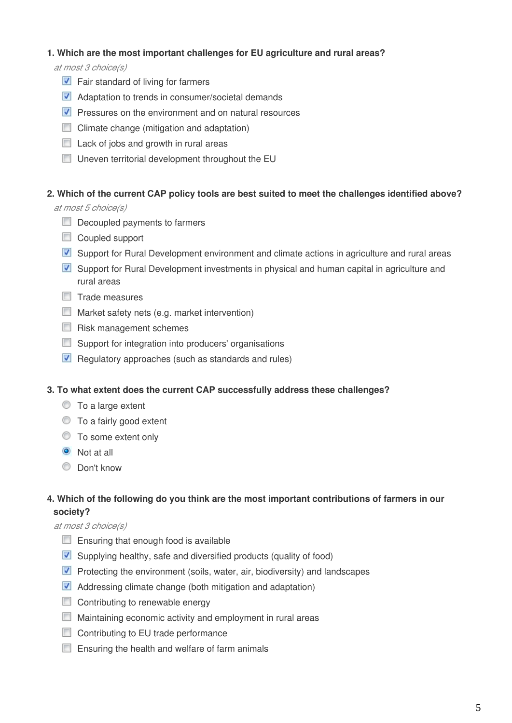### **1. Which are the most important challenges for EU agriculture and rural areas?**

at most 3 choice(s)

- **V** Fair standard of living for farmers
- **Adaptation to trends in consumer/societal demands**
- $\triangledown$  Pressures on the environment and on natural resources
- $\Box$  Climate change (mitigation and adaptation)
- $\Box$  Lack of jobs and growth in rural areas
- **Uneven territorial development throughout the EU**

### **2. Which of the current CAP policy tools are best suited to meet the challenges identified above?**

at most 5 choice(s)

- Decoupled payments to farmers
- Coupled support
- Support for Rural Development environment and climate actions in agriculture and rural areas
- Support for Rural Development investments in physical and human capital in agriculture and rural areas
- $\Box$  Trade measures
- $\Box$  Market safety nets (e.g. market intervention)
- $\Box$  Risk management schemes
- **Support for integration into producers' organisations**
- $\blacksquare$  Regulatory approaches (such as standards and rules)

### **3. To what extent does the current CAP successfully address these challenges?**

- $\circ$  To a large extent
- $\bullet$  To a fairly good extent
- $\circledcirc$  To some extent only
- **O** Not at all
- C Don't know

### **4. Which of the following do you think are the most important contributions of farmers in our society?**

### at most 3 choice(s)

- $\Box$  Ensuring that enough food is available
- **V** Supplying healthy, safe and diversified products (quality of food)
- **Protecting the environment (soils, water, air, biodiversity) and landscapes**
- **Addressing climate change (both mitigation and adaptation)**
- Contributing to renewable energy
- **Maintaining economic activity and employment in rural areas**
- Contributing to EU trade performance
- $\Box$  Ensuring the health and welfare of farm animals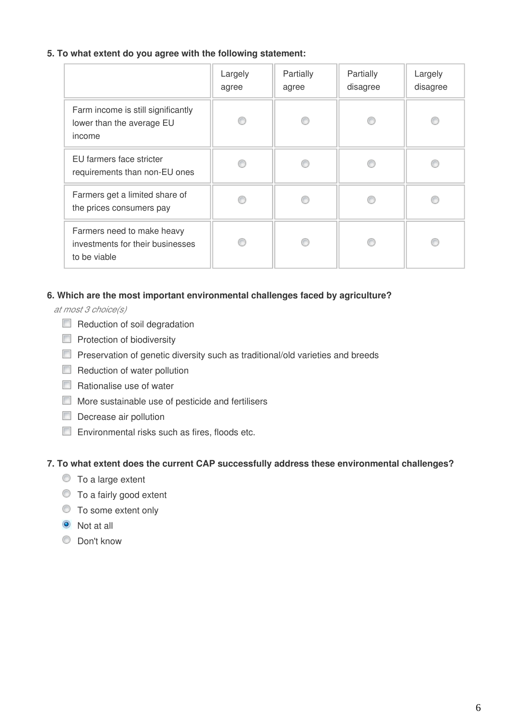### **5. To what extent do you agree with the following statement:**

|                                                                                | Largely<br>agree | Partially<br>agree | Partially<br>disagree | Largely<br>disagree |
|--------------------------------------------------------------------------------|------------------|--------------------|-----------------------|---------------------|
| Farm income is still significantly<br>lower than the average EU<br>income      |                  |                    |                       |                     |
| EU farmers face stricter<br>requirements than non-EU ones                      |                  |                    |                       |                     |
| Farmers get a limited share of<br>the prices consumers pay                     |                  |                    |                       |                     |
| Farmers need to make heavy<br>investments for their businesses<br>to be viable |                  |                    |                       |                     |

### **6. Which are the most important environmental challenges faced by agriculture?**

at most 3 choice(s)

- Reduction of soil degradation
- $\Box$  Protection of biodiversity
- **Preservation of genetic diversity such as traditional/old varieties and breeds**
- Reduction of water pollution
- $\Box$  Rationalise use of water
- **More sustainable use of pesticide and fertilisers**
- Decrease air pollution
- **Environmental risks such as fires, floods etc.**

### **7. To what extent does the current CAP successfully address these environmental challenges?**

- $\bullet$  To a large extent
- $\bullet$  To a fairly good extent
- $\circledcirc$  To some extent only
- **O** Not at all
- **C** Don't know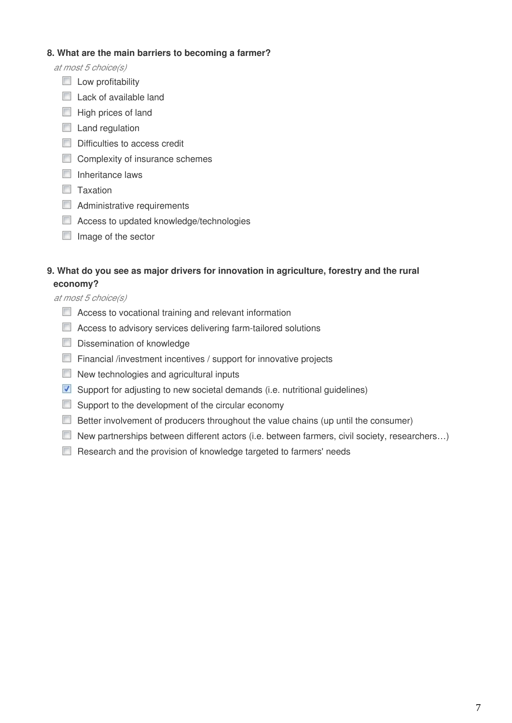### **8. What are the main barriers to becoming a farmer?**

at most 5 choice(s)

- $\Box$  Low profitability
- $\Box$  Lack of available land
- $\Box$  High prices of land
- **Land regulation**
- Difficulties to access credit
- Complexity of insurance schemes
- $\Box$  Inheritance laws
- $\Box$  Taxation
- Administrative requirements
- **E** Access to updated knowledge/technologies
- $\Box$  Image of the sector

### **9. What do you see as major drivers for innovation in agriculture, forestry and the rural economy?**

at most 5 choice(s)

- **E.** Access to vocational training and relevant information
- **E** Access to advisory services delivering farm-tailored solutions
- Dissemination of knowledge
- Financial /investment incentives / support for innovative projects
- New technologies and agricultural inputs
- **V** Support for adjusting to new societal demands (i.e. nutritional guidelines)
- Support to the development of the circular economy
- Better involvement of producers throughout the value chains (up until the consumer)
- New partnerships between different actors (i.e. between farmers, civil society, researchers...)
- Research and the provision of knowledge targeted to farmers' needs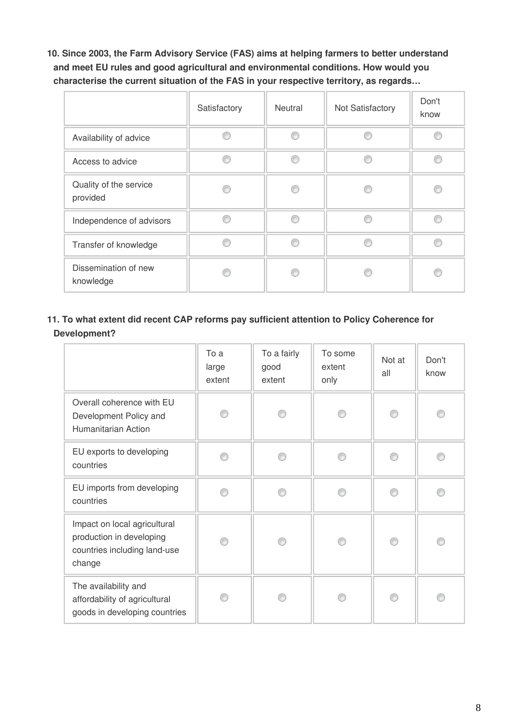**10. Since 2003, the Farm Advisory Service (FAS) aims at helping farmers to better understand and meet EU rules and good agricultural and environmental conditions. How would you characterise the current situation of the FAS in your respective territory, as regards…**

|                                    | Satisfactory | Neutral | Not Satisfactory | Don't<br>know |
|------------------------------------|--------------|---------|------------------|---------------|
| Availability of advice             |              |         |                  |               |
| Access to advice                   |              | ⋒       | e                | A             |
| Quality of the service<br>provided |              |         |                  |               |
| Independence of advisors           |              | B       | e                |               |
| Transfer of knowledge              |              |         |                  |               |
| Dissemination of new<br>knowledge  |              |         |                  |               |

### **11. To what extent did recent CAP reforms pay sufficient attention to Policy Coherence for Development?**

|                                                                                                    | To a<br>large<br>extent | To a fairly<br>good<br>extent | To some<br>extent<br>only | Not at<br>all | Don't<br>know |
|----------------------------------------------------------------------------------------------------|-------------------------|-------------------------------|---------------------------|---------------|---------------|
| Overall coherence with EU<br>Development Policy and<br>Humanitarian Action                         |                         |                               |                           |               |               |
| EU exports to developing<br>countries                                                              |                         | ⋒                             |                           | ∩             | ⋒             |
| EU imports from developing<br>countries                                                            |                         | e                             |                           | ⋒             |               |
| Impact on local agricultural<br>production in developing<br>countries including land-use<br>change | ⋒                       | ⋒                             |                           | ∩             | ⋒             |
| The availability and<br>affordability of agricultural<br>goods in developing countries             |                         |                               |                           |               |               |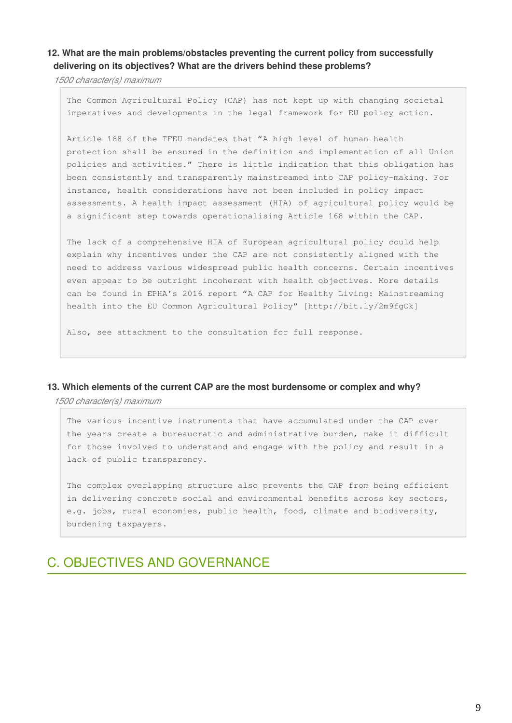### **12. What are the main problems/obstacles preventing the current policy from successfully delivering on its objectives? What are the drivers behind these problems?**

1500 character(s) maximum

The Common Agricultural Policy (CAP) has not kept up with changing societal imperatives and developments in the legal framework for EU policy action.

Article 168 of the TFEU mandates that "A high level of human health protection shall be ensured in the definition and implementation of all Union policies and activities." There is little indication that this obligation has been consistently and transparently mainstreamed into CAP policy-making. For instance, health considerations have not been included in policy impact assessments. A health impact assessment (HIA) of agricultural policy would be a significant step towards operationalising Article 168 within the CAP.

The lack of a comprehensive HIA of European agricultural policy could help explain why incentives under the CAP are not consistently aligned with the need to address various widespread public health concerns. Certain incentives even appear to be outright incoherent with health objectives. More details can be found in EPHA's 2016 report "A CAP for Healthy Living: Mainstreaming health into the EU Common Agricultural Policy" [http://bit.ly/2m9fgOk]

Also, see attachment to the consultation for full response.

#### **13. Which elements of the current CAP are the most burdensome or complex and why?**

1500 character(s) maximum

The various incentive instruments that have accumulated under the CAP over the years create a bureaucratic and administrative burden, make it difficult for those involved to understand and engage with the policy and result in a lack of public transparency.

The complex overlapping structure also prevents the CAP from being efficient in delivering concrete social and environmental benefits across key sectors, e.g. jobs, rural economies, public health, food, climate and biodiversity, burdening taxpayers.

### C. OBJECTIVES AND GOVERNANCE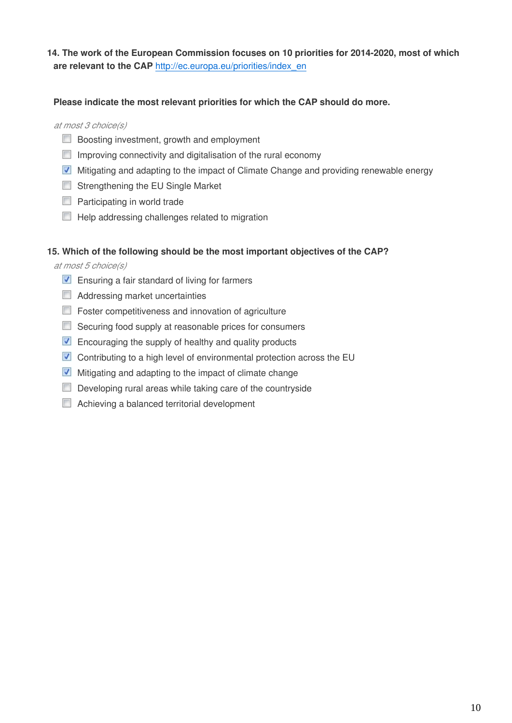### **14. The work of the European Commission focuses on 10 priorities for 2014-2020, most of which are relevant to the CAP** [http://ec.europa.eu/priorities/index\\_en](http://ec.europa.eu/priorities/index_en)

### **Please indicate the most relevant priorities for which the CAP should do more.**

at most 3 choice(s)

- **Boosting investment, growth and employment**
- $\Box$  Improving connectivity and digitalisation of the rural economy
- Mitigating and adapting to the impact of Climate Change and providing renewable energy
- **Strengthening the EU Single Market**
- $\Box$  Participating in world trade
- $\Box$  Help addressing challenges related to migration

### **15. Which of the following should be the most important objectives of the CAP?**

at most 5 choice(s)

- $\blacksquare$  Ensuring a fair standard of living for farmers
- Addressing market uncertainties
- $\Box$  Foster competitiveness and innovation of agriculture
- Securing food supply at reasonable prices for consumers
- **Encouraging the supply of healthy and quality products**
- Contributing to a high level of environmental protection across the EU
- $\blacksquare$  Mitigating and adapting to the impact of climate change
- $\Box$  Developing rural areas while taking care of the countryside
- Achieving a balanced territorial development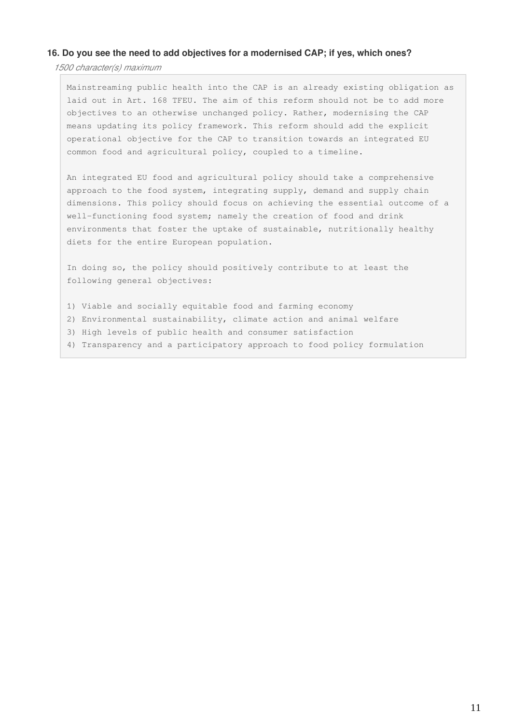#### **16. Do you see the need to add objectives for a modernised CAP; if yes, which ones?**

1500 character(s) maximum

Mainstreaming public health into the CAP is an already existing obligation as laid out in Art. 168 TFEU. The aim of this reform should not be to add more objectives to an otherwise unchanged policy. Rather, modernising the CAP means updating its policy framework. This reform should add the explicit operational objective for the CAP to transition towards an integrated EU common food and agricultural policy, coupled to a timeline.

An integrated EU food and agricultural policy should take a comprehensive approach to the food system, integrating supply, demand and supply chain dimensions. This policy should focus on achieving the essential outcome of a well-functioning food system; namely the creation of food and drink environments that foster the uptake of sustainable, nutritionally healthy diets for the entire European population.

In doing so, the policy should positively contribute to at least the following general objectives:

- 1) Viable and socially equitable food and farming economy
- 2) Environmental sustainability, climate action and animal welfare
- 3) High levels of public health and consumer satisfaction
- 4) Transparency and a participatory approach to food policy formulation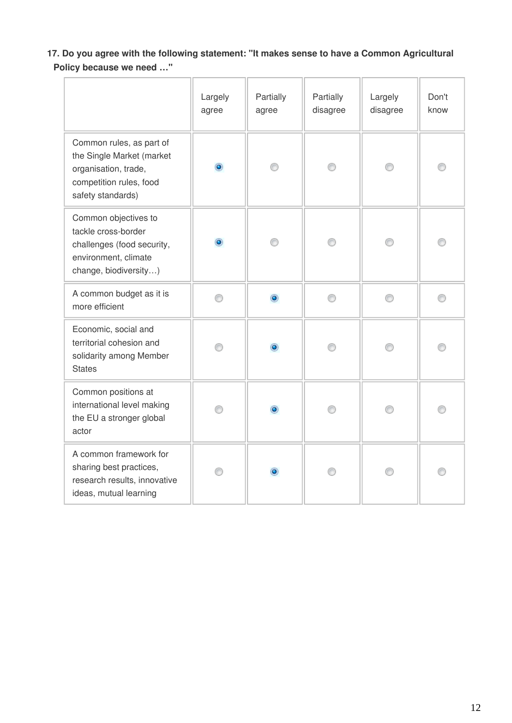**17. Do you agree with the following statement: "It makes sense to have a Common Agricultural Policy because we need …"**

|                                                                                                                               | Largely<br>agree | Partially<br>agree | Partially<br>disagree | Largely<br>disagree | Don't<br>know |
|-------------------------------------------------------------------------------------------------------------------------------|------------------|--------------------|-----------------------|---------------------|---------------|
| Common rules, as part of<br>the Single Market (market<br>organisation, trade,<br>competition rules, food<br>safety standards) | $\bullet$        | ∩                  | ∩                     | ∩                   |               |
| Common objectives to<br>tackle cross-border<br>challenges (food security,<br>environment, climate<br>change, biodiversity)    | $\bullet$        | ⊙                  | ⊙                     | ⊙                   |               |
| A common budget as it is<br>more efficient                                                                                    | ⊙                | $\bullet$          | ∩                     | ◉                   | ∩             |
| Economic, social and<br>territorial cohesion and<br>solidarity among Member<br><b>States</b>                                  | ⋒                |                    | ⋒                     | ∩                   |               |
| Common positions at<br>international level making<br>the EU a stronger global<br>actor                                        | ⋒                |                    | ⋒                     | ∩                   |               |
| A common framework for<br>sharing best practices,<br>research results, innovative<br>ideas, mutual learning                   | ⋒                |                    | ⋒                     | ⋒                   |               |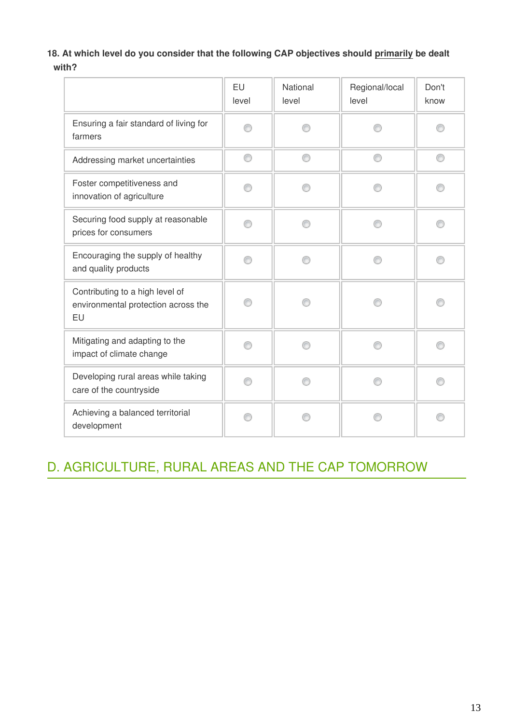### 18. At which level do you consider that the following CAP objectives should primarily be dealt **with?**

|                                                                              | EU<br>level | National<br>level | Regional/local<br>level | Don't<br>know |
|------------------------------------------------------------------------------|-------------|-------------------|-------------------------|---------------|
| Ensuring a fair standard of living for<br>farmers                            |             |                   |                         |               |
| Addressing market uncertainties                                              | ⊙           | ⋒                 | ⋒                       | ⊙             |
| Foster competitiveness and<br>innovation of agriculture                      |             |                   |                         |               |
| Securing food supply at reasonable<br>prices for consumers                   | ⋒           |                   |                         |               |
| Encouraging the supply of healthy<br>and quality products                    |             |                   |                         |               |
| Contributing to a high level of<br>environmental protection across the<br>EU | ⋒           |                   |                         |               |
| Mitigating and adapting to the<br>impact of climate change                   | ∩           |                   |                         | A             |
| Developing rural areas while taking<br>care of the countryside               |             |                   |                         |               |
| Achieving a balanced territorial<br>development                              |             |                   |                         |               |

# D. AGRICULTURE, RURAL AREAS AND THE CAP TOMORROW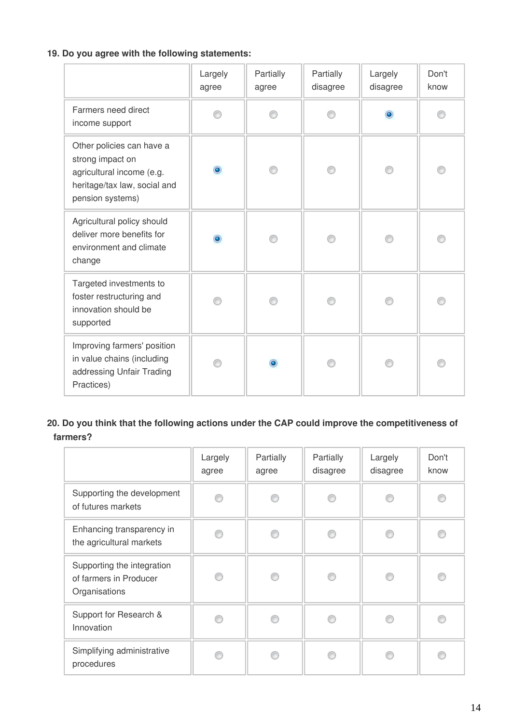### **19. Do you agree with the following statements:**

|                                                                                                                                | Largely<br>agree | Partially<br>agree | Partially<br>disagree | Largely<br>disagree | Don't<br>know |
|--------------------------------------------------------------------------------------------------------------------------------|------------------|--------------------|-----------------------|---------------------|---------------|
| Farmers need direct<br>income support                                                                                          | ⋒                |                    |                       | $\bullet$           |               |
| Other policies can have a<br>strong impact on<br>agricultural income (e.g.<br>heritage/tax law, social and<br>pension systems) | ۵                |                    |                       |                     |               |
| Agricultural policy should<br>deliver more benefits for<br>environment and climate<br>change                                   | ۵                |                    |                       |                     |               |
| Targeted investments to<br>foster restructuring and<br>innovation should be<br>supported                                       |                  |                    |                       |                     |               |
| Improving farmers' position<br>in value chains (including<br>addressing Unfair Trading<br>Practices)                           |                  | ۵                  |                       |                     |               |

### **20. Do you think that the following actions under the CAP could improve the competitiveness of farmers?**

|                                                                       | Largely<br>agree | Partially<br>agree | Partially<br>disagree | Largely<br>disagree | Don't<br>know |
|-----------------------------------------------------------------------|------------------|--------------------|-----------------------|---------------------|---------------|
| Supporting the development<br>of futures markets                      | ⋒                |                    |                       |                     | €             |
| Enhancing transparency in<br>the agricultural markets                 | ⋒                | ß                  |                       | ⋒                   | ⋒             |
| Supporting the integration<br>of farmers in Producer<br>Organisations | ⋒                | ⋒                  |                       | ⋒                   | ⋒             |
| Support for Research &<br>Innovation                                  | ⋒                |                    |                       | ß                   |               |
| Simplifying administrative<br>procedures                              | ß                |                    |                       |                     |               |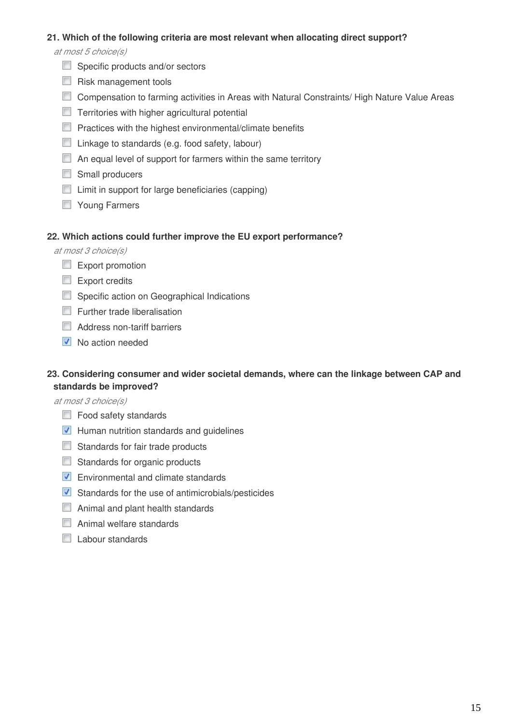### **21. Which of the following criteria are most relevant when allocating direct support?**

at most 5 choice(s)

- Specific products and/or sectors
- $\Box$  Risk management tools
- Compensation to farming activities in Areas with Natural Constraints/ High Nature Value Areas
- **Territories with higher agricultural potential**
- $\Box$  Practices with the highest environmental/climate benefits
- $\Box$  Linkage to standards (e.g. food safety, labour)
- $\Box$  An equal level of support for farmers within the same territory
- Small producers
- $\Box$  Limit in support for large beneficiaries (capping)
- **Noung Farmers**

#### **22. Which actions could further improve the EU export performance?**

at most 3 choice(s)

- Export promotion
- Export credits
- Specific action on Geographical Indications
- **Further trade liberalisation**
- Address non-tariff barriers
- $\nabla$  No action needed

### **23. Considering consumer and wider societal demands, where can the linkage between CAP and standards be improved?**

at most 3 choice(s)

- Food safety standards
- **Human nutrition standards and guidelines**
- Standards for fair trade products
- Standards for organic products
- **Environmental and climate standards**
- Standards for the use of antimicrobials/pesticides
- **E** Animal and plant health standards
- Animal welfare standards
- **Labour standards**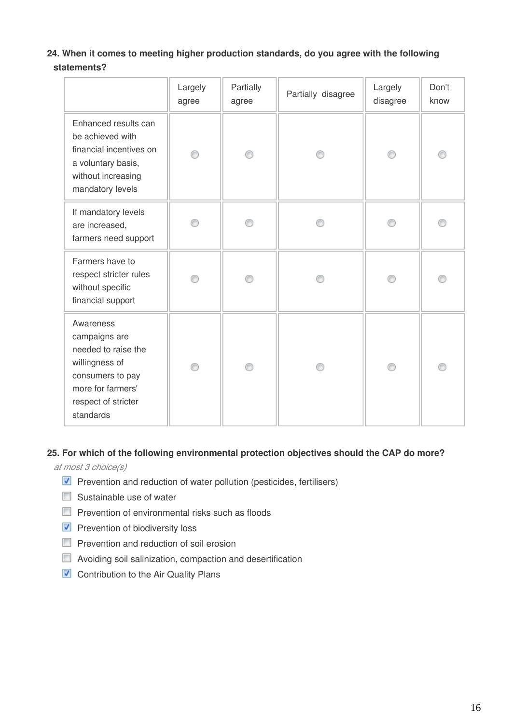### **24. When it comes to meeting higher production standards, do you agree with the following statements?**

|                                                                                                                                                  | Largely<br>agree | Partially<br>agree | Partially disagree | Largely<br>disagree | Don't<br>know |
|--------------------------------------------------------------------------------------------------------------------------------------------------|------------------|--------------------|--------------------|---------------------|---------------|
| Enhanced results can<br>be achieved with<br>financial incentives on<br>a voluntary basis,<br>without increasing<br>mandatory levels              |                  | ∩                  |                    | ∩                   |               |
| If mandatory levels<br>are increased,<br>farmers need support                                                                                    |                  |                    |                    |                     |               |
| Farmers have to<br>respect stricter rules<br>without specific<br>financial support                                                               |                  |                    |                    |                     |               |
| Awareness<br>campaigns are<br>needed to raise the<br>willingness of<br>consumers to pay<br>more for farmers'<br>respect of stricter<br>standards |                  |                    |                    |                     |               |

### **25. For which of the following environmental protection objectives should the CAP do more?**

at most 3 choice(s)

- $\blacksquare$  Prevention and reduction of water pollution (pesticides, fertilisers)
- $\Box$  Sustainable use of water
- $\Box$  Prevention of environmental risks such as floods
- **Prevention of biodiversity loss**
- $\Box$  Prevention and reduction of soil erosion
- **E** Avoiding soil salinization, compaction and desertification
- **V** Contribution to the Air Quality Plans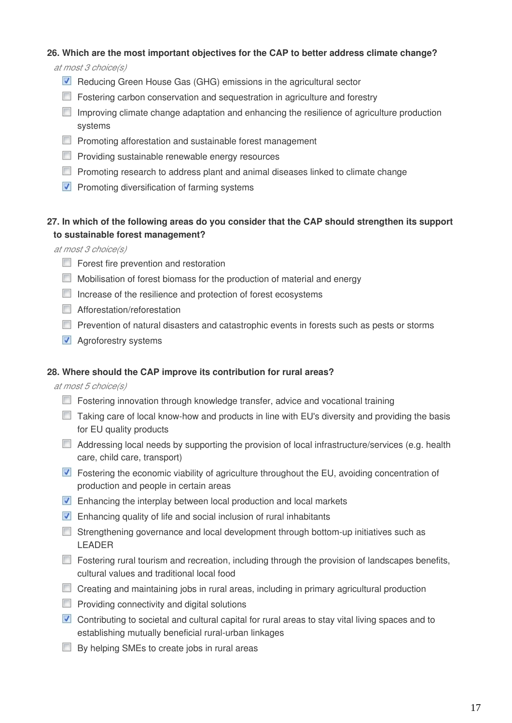### **26. Which are the most important objectives for the CAP to better address climate change?**

at most 3 choice(s)

- Reducing Green House Gas (GHG) emissions in the agricultural sector
- **Fostering carbon conservation and sequestration in agriculture and forestry**
- Improving climate change adaptation and enhancing the resilience of agriculture production systems
- **Promoting afforestation and sustainable forest management**
- $\Box$  Providing sustainable renewable energy resources
- $\Box$  Promoting research to address plant and animal diseases linked to climate change
- $\nabla$  Promoting diversification of farming systems

### **27. In which of the following areas do you consider that the CAP should strengthen its support to sustainable forest management?**

at most 3 choice(s)

- **Forest fire prevention and restoration**
- Mobilisation of forest biomass for the production of material and energy
- Increase of the resilience and protection of forest ecosystems
- **Afforestation/reforestation**
- **Prevention of natural disasters and catastrophic events in forests such as pests or storms**
- **Agroforestry systems**

### **28. Where should the CAP improve its contribution for rural areas?**

at most 5 choice(s)

- **Fostering innovation through knowledge transfer, advice and vocational training**
- $\Box$  Taking care of local know-how and products in line with EU's diversity and providing the basis for EU quality products
- Addressing local needs by supporting the provision of local infrastructure/services (e.g. health care, child care, transport)
- **Fostering the economic viability of agriculture throughout the EU, avoiding concentration of** production and people in certain areas
- **Enhancing the interplay between local production and local markets**
- **Enhancing quality of life and social inclusion of rural inhabitants**
- Strengthening governance and local development through bottom-up initiatives such as LEADER
- Fostering rural tourism and recreation, including through the provision of landscapes benefits, cultural values and traditional local food
- Creating and maintaining jobs in rural areas, including in primary agricultural production
- $\Box$  Providing connectivity and digital solutions
- Contributing to societal and cultural capital for rural areas to stay vital living spaces and to establishing mutually beneficial rural-urban linkages
- $\Box$  By helping SMEs to create jobs in rural areas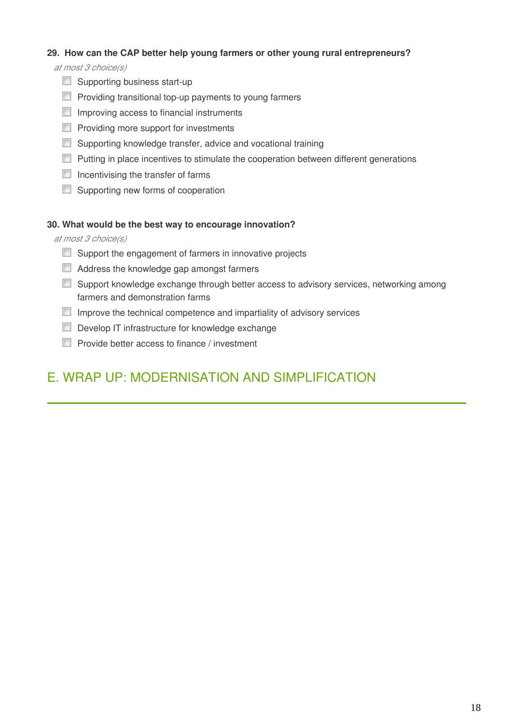### **29. How can the CAP better help young farmers or other young rural entrepreneurs?**

at most 3 choice(s)

- Supporting business start-up
- $\Box$  Providing transitional top-up payments to young farmers
- $\Box$  Improving access to financial instruments
- **Providing more support for investments**
- **Supporting knowledge transfer, advice and vocational training**
- $\Box$  Putting in place incentives to stimulate the cooperation between different generations
- $\Box$  Incentivising the transfer of farms
- Supporting new forms of cooperation

### **30. What would be the best way to encourage innovation?**

at most 3 choice(s)

- $\Box$  Support the engagement of farmers in innovative projects
- Address the knowledge gap amongst farmers
- Support knowledge exchange through better access to advisory services, networking among farmers and demonstration farms
- $\Box$  Improve the technical competence and impartiality of advisory services
- Develop IT infrastructure for knowledge exchange
- $\Box$  Provide better access to finance / investment

# E. WRAP UP: MODERNISATION AND SIMPLIFICATION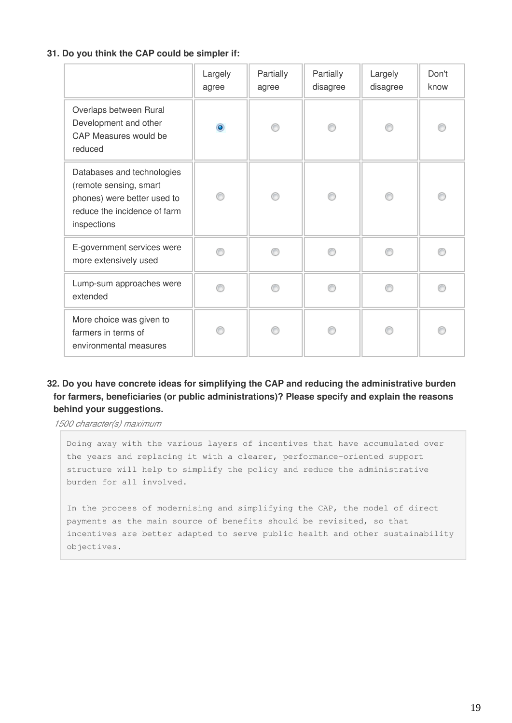### **31. Do you think the CAP could be simpler if:**

|                                                                                                                                    | Largely<br>agree | Partially<br>agree | Partially<br>disagree | Largely<br>disagree | Don't<br>know |
|------------------------------------------------------------------------------------------------------------------------------------|------------------|--------------------|-----------------------|---------------------|---------------|
| Overlaps between Rural<br>Development and other<br><b>CAP Measures would be</b><br>reduced                                         | $\bullet$        |                    |                       | ⊙                   |               |
| Databases and technologies<br>(remote sensing, smart<br>phones) were better used to<br>reduce the incidence of farm<br>inspections |                  |                    |                       |                     |               |
| E-government services were<br>more extensively used                                                                                |                  |                    |                       |                     |               |
| Lump-sum approaches were<br>extended                                                                                               |                  |                    |                       |                     |               |
| More choice was given to<br>farmers in terms of<br>environmental measures                                                          |                  |                    |                       |                     |               |

### **32. Do you have concrete ideas for simplifying the CAP and reducing the administrative burden for farmers, beneficiaries (or public administrations)? Please specify and explain the reasons behind your suggestions.**

1500 character(s) maximum

Doing away with the various layers of incentives that have accumulated over the years and replacing it with a clearer, performance-oriented support structure will help to simplify the policy and reduce the administrative burden for all involved.

In the process of modernising and simplifying the CAP, the model of direct payments as the main source of benefits should be revisited, so that incentives are better adapted to serve public health and other sustainability objectives.